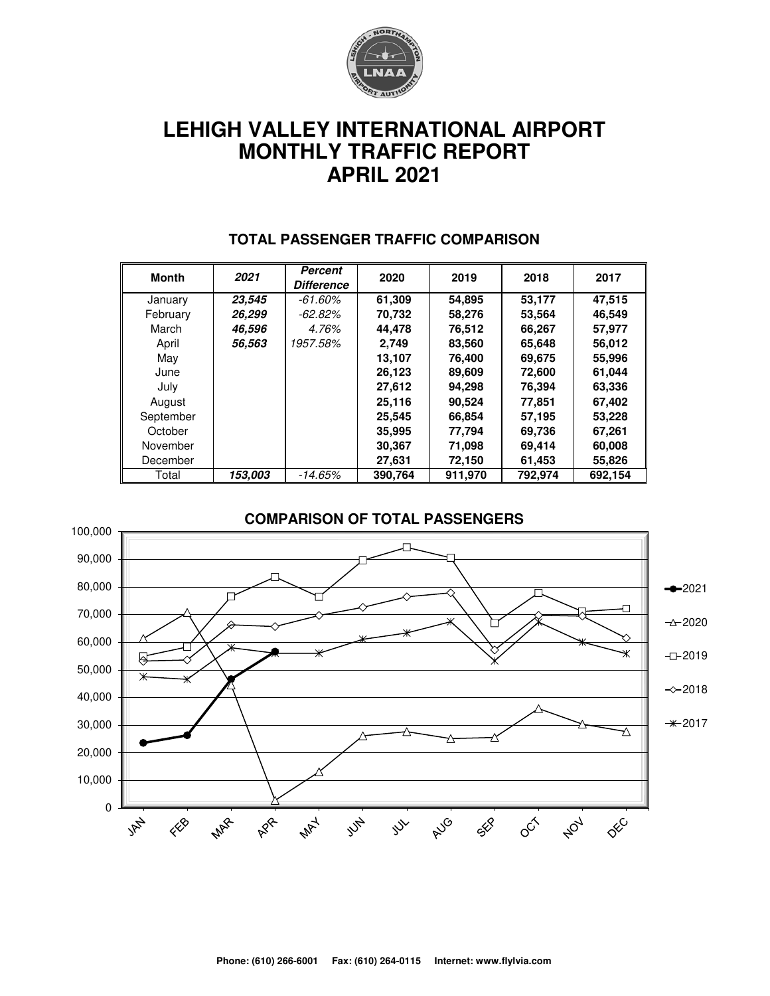

# **LEHIGH VALLEY INTERNATIONAL AIRPORT MONTHLY TRAFFIC REPORT APRIL 2021**

| <b>Month</b> | 2021    | Percent<br><b>Difference</b> | 2020    | 2019    | 2018    | 2017    |  |
|--------------|---------|------------------------------|---------|---------|---------|---------|--|
| January      | 23,545  | $-61.60\%$                   | 61,309  | 54,895  | 53,177  | 47,515  |  |
| February     | 26,299  | -62.82%                      | 70,732  | 58,276  | 53,564  | 46,549  |  |
| March        | 46,596  | 4.76%                        | 44.478  | 76,512  | 66,267  | 57.977  |  |
| April        | 56,563  | 1957.58%                     | 2,749   | 83,560  | 65,648  | 56,012  |  |
| May          |         |                              | 13,107  | 76,400  | 69,675  | 55,996  |  |
| June         |         |                              | 26,123  | 89,609  | 72,600  | 61,044  |  |
| July         |         |                              | 27,612  | 94,298  | 76,394  | 63,336  |  |
| August       |         |                              | 25,116  | 90,524  | 77,851  | 67,402  |  |
| September    |         |                              | 25,545  | 66,854  | 57,195  | 53,228  |  |
| October      |         |                              | 35,995  | 77,794  | 69,736  | 67,261  |  |
| November     |         |                              | 30,367  | 71,098  | 69,414  | 60,008  |  |
| December     |         |                              | 27,631  | 72,150  | 61,453  | 55,826  |  |
| Total        | 153.003 | -14.65%                      | 390,764 | 911,970 | 792,974 | 692,154 |  |

#### **TOTAL PASSENGER TRAFFIC COMPARISON**

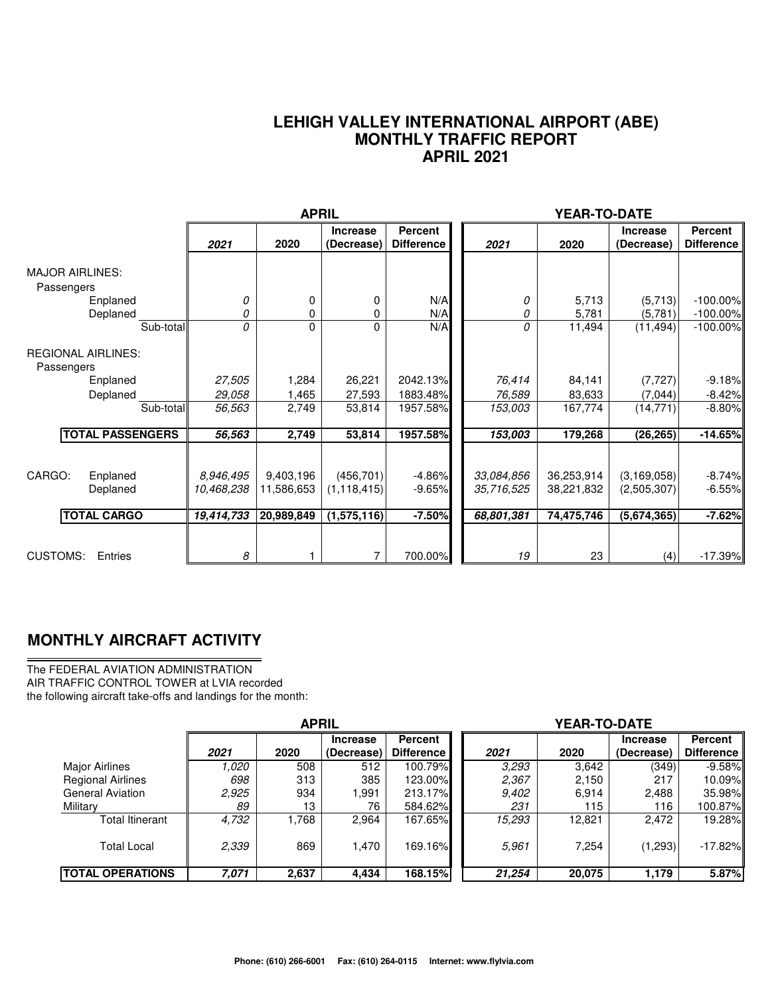#### **LEHIGH VALLEY INTERNATIONAL AIRPORT (ABE) MONTHLY TRAFFIC REPORT APRIL 2021**

|                                                      |                         | <b>APRIL</b>            |                               |                                     |                          | YEAR-TO-DATE             |                               |                                     |
|------------------------------------------------------|-------------------------|-------------------------|-------------------------------|-------------------------------------|--------------------------|--------------------------|-------------------------------|-------------------------------------|
|                                                      | 2021                    | 2020                    | <b>Increase</b><br>(Decrease) | <b>Percent</b><br><b>Difference</b> | 2021                     | 2020                     | <b>Increase</b><br>(Decrease) | <b>Percent</b><br><b>Difference</b> |
| <b>MAJOR AIRLINES:</b><br>Passengers                 |                         |                         |                               |                                     |                          |                          |                               |                                     |
| Enplaned<br>Deplaned                                 | 0<br>0                  | 0<br>0                  | 0<br>0                        | N/A<br>N/A                          | 0<br>0                   | 5,713<br>5,781           | (5,713)<br>(5,781)            | $-100.00\%$<br>$-100.00\%$          |
| Sub-total<br><b>REGIONAL AIRLINES:</b><br>Passengers | 0                       | 0                       | 0                             | N/A                                 | 0                        | 11,494                   | (11, 494)                     | $-100.00\%$                         |
| Enplaned<br>Deplaned                                 | 27,505<br>29,058        | 1,284<br>1,465          | 26,221<br>27,593              | 2042.13%<br>1883.48%                | 76,414<br>76,589         | 84,141<br>83,633         | (7, 727)<br>(7,044)           | $-9.18%$<br>$-8.42%$                |
| Sub-total                                            | 56,563                  | 2,749                   | 53,814                        | 1957.58%                            | 153,003                  | 167,774                  | (14, 771)                     | $-8.80%$                            |
| <b>TOTAL PASSENGERS</b>                              | 56,563                  | 2,749                   | 53,814                        | 1957.58%                            | 153,003                  | 179,268                  | (26, 265)                     | $-14.65%$                           |
| CARGO:<br>Enplaned<br>Deplaned                       | 8,946,495<br>10,468,238 | 9,403,196<br>11,586,653 | (456, 701)<br>(1, 118, 415)   | $-4.86%$<br>$-9.65%$                | 33,084,856<br>35,716,525 | 36,253,914<br>38,221,832 | (3, 169, 058)<br>(2,505,307)  | $-8.74%$<br>$-6.55%$                |
| <b>TOTAL CARGO</b>                                   | 19,414,733              | 20,989,849              | (1,575,116)                   | $-7.50%$                            | 68,801,381               | 74,475,746               | (5,674,365)                   | $-7.62%$                            |
| <b>CUSTOMS:</b><br>Entries                           | 8                       |                         | 7                             | 700.00%                             | 19                       | 23                       | (4)                           | $-17.39%$                           |

### **MONTHLY AIRCRAFT ACTIVITY**

The FEDERAL AVIATION ADMINISTRATION AIR TRAFFIC CONTROL TOWER at LVIA recorded the following aircraft take-offs and landings for the month:

|                          | <b>APRIL</b> |       |                               |                                     | YEAR-TO-DATE |        |                               |                                     |  |  |
|--------------------------|--------------|-------|-------------------------------|-------------------------------------|--------------|--------|-------------------------------|-------------------------------------|--|--|
|                          | 2021         | 2020  | <b>Increase</b><br>(Decrease) | <b>Percent</b><br><b>Difference</b> | 2021         | 2020   | <b>Increase</b><br>(Decrease) | <b>Percent</b><br><b>Difference</b> |  |  |
| <b>Major Airlines</b>    | 1.020        | 508   | 512                           | 100.79%                             | 3.293        | 3,642  | (349)                         | $-9.58\%$                           |  |  |
| <b>Regional Airlines</b> | 698          | 313   | 385                           | 123.00%                             | 2,367        | 2,150  | 217                           | $10.09\%$                           |  |  |
| <b>General Aviation</b>  | 2,925        | 934   | .991                          | 213.17%                             | 9,402        | 6,914  | 2,488                         | 35.98%II                            |  |  |
| Military                 | 89           | 13    | 76                            | 584.62%                             | 231          | 115    | 116                           | 100.87%ll                           |  |  |
| <b>Total Itinerant</b>   | 4,732        | .768  | 2,964                         | 167.65%                             | 15,293       | 12,821 | 2.472                         | 19.28%                              |  |  |
| <b>Total Local</b>       | 2,339        | 869   | .470                          | 169.16%                             | 5.961        | 7,254  | (1,293)                       | $-17.82\%$                          |  |  |
| <b>TOTAL OPERATIONS</b>  | 7,071        | 2,637 | 4,434                         | 168.15%                             | 21,254       | 20,075 | 1,179                         | 5.87%                               |  |  |